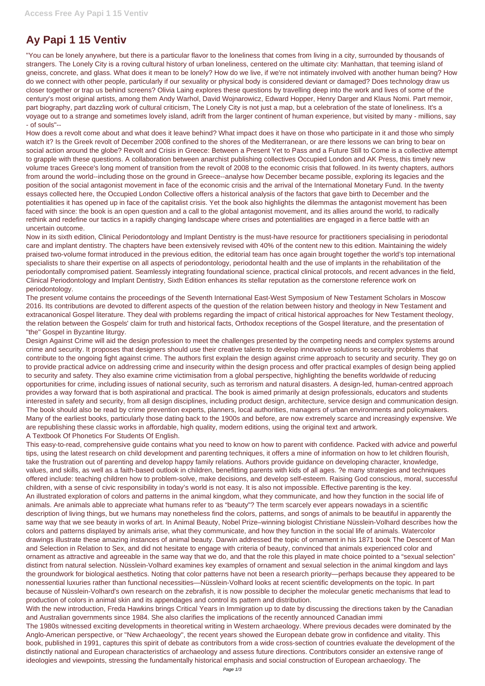## **Ay Papi 1 15 Ventiv**

"You can be lonely anywhere, but there is a particular flavor to the loneliness that comes from living in a city, surrounded by thousands of strangers. The Lonely City is a roving cultural history of urban loneliness, centered on the ultimate city: Manhattan, that teeming island of gneiss, concrete, and glass. What does it mean to be lonely? How do we live, if we're not intimately involved with another human being? How do we connect with other people, particularly if our sexuality or physical body is considered deviant or damaged? Does technology draw us closer together or trap us behind screens? Olivia Laing explores these questions by travelling deep into the work and lives of some of the century's most original artists, among them Andy Warhol, David Wojnarowicz, Edward Hopper, Henry Darger and Klaus Nomi. Part memoir, part biography, part dazzling work of cultural criticism, The Lonely City is not just a map, but a celebration of the state of loneliness. It's a voyage out to a strange and sometimes lovely island, adrift from the larger continent of human experience, but visited by many - millions, say - of souls"--

How does a revolt come about and what does it leave behind? What impact does it have on those who participate in it and those who simply watch it? Is the Greek revolt of December 2008 confined to the shores of the Mediterranean, or are there lessons we can bring to bear on social action around the globe? Revolt and Crisis in Greece: Between a Present Yet to Pass and a Future Still to Come is a collective attempt to grapple with these questions. A collaboration between anarchist publishing collectives Occupied London and AK Press, this timely new volume traces Greece's long moment of transition from the revolt of 2008 to the economic crisis that followed. In its twenty chapters, authors from around the world--including those on the ground in Greece--analyse how December became possible, exploring its legacies and the position of the social antagonist movement in face of the economic crisis and the arrival of the International Monetary Fund. In the twenty essays collected here, the Occupied London Collective offers a historical analysis of the factors that gave birth to December and the potentialities it has opened up in face of the capitalist crisis. Yet the book also highlights the dilemmas the antagonist movement has been faced with since: the book is an open question and a call to the global antagonist movement, and its allies around the world, to radically rethink and redefine our tactics in a rapidly changing landscape where crises and potentialities are engaged in a fierce battle with an uncertain outcome.

Now in its sixth edition, Clinical Periodontology and Implant Dentistry is the must-have resource for practitioners specialising in periodontal care and implant dentistry. The chapters have been extensively revised with 40% of the content new to this edition. Maintaining the widely praised two-volume format introduced in the previous edition, the editorial team has once again brought together the world's top international specialists to share their expertise on all aspects of periodontology, periodontal health and the use of implants in the rehabilitation of the periodontally compromised patient. Seamlessly integrating foundational science, practical clinical protocols, and recent advances in the field, Clinical Periodontology and Implant Dentistry, Sixth Edition enhances its stellar reputation as the cornerstone reference work on periodontology.

The present volume contains the proceedings of the Seventh International East-West Symposium of New Testament Scholars in Moscow 2016. Its contributions are devoted to different aspects of the question of the relation between history and theology in New Testament and extracanonical Gospel literature. They deal with problems regarding the impact of critical historical approaches for New Testament theology, the relation between the Gospels' claim for truth and historical facts, Orthodox receptions of the Gospel literature, and the presentation of "the" Gospel in Byzantine liturgy.

Design Against Crime will aid the design profession to meet the challenges presented by the competing needs and complex systems around crime and security. It proposes that designers should use their creative talents to develop innovative solutions to security problems that contribute to the ongoing fight against crime. The authors first explain the design against crime approach to security and security. They go on to provide practical advice on addressing crime and insecurity within the design process and offer practical examples of design being applied to security and safety. They also examine crime victimisation from a global perspective, highlighting the benefits worldwide of reducing opportunities for crime, including issues of national security, such as terrorism and natural disasters. A design-led, human-centred approach provides a way forward that is both aspirational and practical. The book is aimed primarily at design professionals, educators and students interested in safety and security, from all design disciplines, including product design, architecture, service design and communication design. The book should also be read by crime prevention experts, planners, local authorities, managers of urban environments and policymakers. Many of the earliest books, particularly those dating back to the 1900s and before, are now extremely scarce and increasingly expensive. We are republishing these classic works in affordable, high quality, modern editions, using the original text and artwork. A Textbook Of Phonetics For Students Of English.

This easy-to-read, comprehensive guide contains what you need to know on how to parent with confidence. Packed with advice and powerful tips, using the latest research on child development and parenting techniques, it offers a mine of information on how to let children flourish, take the frustration out of parenting and develop happy family relations. Authors provide guidance on developing character, knowledge, values, and skills, as well as a faith-based outlook in children, benefitting parents with kids of all ages. ?e many strategies and techniques offered include: teaching children how to problem-solve, make decisions, and develop self-esteem. Raising God conscious, moral, successful children, with a sense of civic responsibility in today's world is not easy. It is also not impossible. Effective parenting is the key. An illustrated exploration of colors and patterns in the animal kingdom, what they communicate, and how they function in the social life of animals. Are animals able to appreciate what humans refer to as "beauty"? The term scarcely ever appears nowadays in a scientific description of living things, but we humans may nonetheless find the colors, patterns, and songs of animals to be beautiful in apparently the same way that we see beauty in works of art. In Animal Beauty, Nobel Prize–winning biologist Christiane Nüsslein-Volhard describes how the colors and patterns displayed by animals arise, what they communicate, and how they function in the social life of animals. Watercolor drawings illustrate these amazing instances of animal beauty. Darwin addressed the topic of ornament in his 1871 book The Descent of Man and Selection in Relation to Sex, and did not hesitate to engage with criteria of beauty, convinced that animals experienced color and ornament as attractive and agreeable in the same way that we do, and that the role this played in mate choice pointed to a "sexual selection" distinct from natural selection. Nüsslein-Volhard examines key examples of ornament and sexual selection in the animal kingdom and lays the groundwork for biological aesthetics. Noting that color patterns have not been a research priority—perhaps because they appeared to be nonessential luxuries rather than functional necessities—Nüsslein-Volhard looks at recent scientific developments on the topic. In part because of Nüsslein-Volhard's own research on the zebrafish, it is now possible to decipher the molecular genetic mechanisms that lead to production of colors in animal skin and its appendages and control its pattern and distribution. With the new introduction, Freda Hawkins brings Critical Years in Immigration up to date by discussing the directions taken by the Canadian and Australian governments since 1984. She also clarifies the implications of the recently announced Canadian immi The 1980s witnessed exciting developments in theoretical writing in Western archaeology. Where previous decades were dominated by the Anglo-American perspective, or "New Archaeology", the recent years showed the European debate grow in confidence and vitality. This book, published in 1991, captures this spirit of debate as contributors from a wide cross-section of countries evaluate the development of the distinctly national and European characteristics of archaeology and assess future directions. Contributors consider an extensive range of ideologies and viewpoints, stressing the fundamentally historical emphasis and social construction of European archaeology. The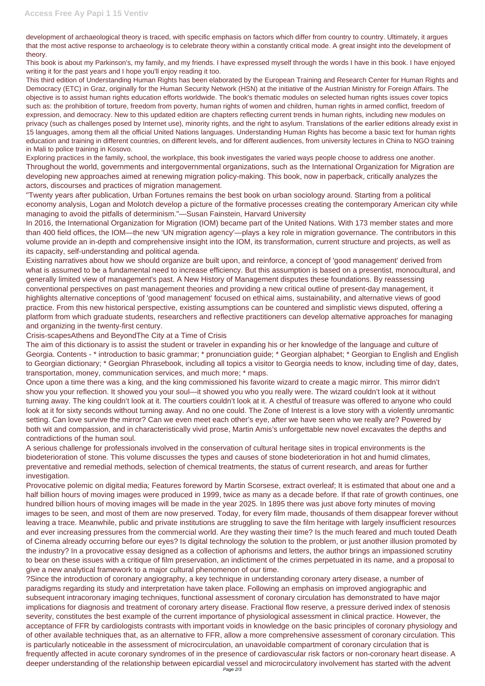development of archaeological theory is traced, with specific emphasis on factors which differ from country to country. Ultimately, it argues that the most active response to archaeology is to celebrate theory within a constantly critical mode. A great insight into the development of theory.

This book is about my Parkinson's, my family, and my friends. I have expressed myself through the words I have in this book. I have enjoyed writing it for the past years and I hope you'll enjoy reading it too.

This third edition of Understanding Human Rights has been elaborated by the European Training and Research Center for Human Rights and Democracy (ETC) in Graz, originally for the Human Security Network (HSN) at the initiative of the Austrian Ministry for Foreign Affairs. The objective is to assist human rights education efforts worldwide. The book's thematic modules on selected human rights issues cover topics such as: the prohibition of torture, freedom from poverty, human rights of women and children, human rights in armed conflict, freedom of expression, and democracy. New to this updated edition are chapters reflecting current trends in human rights, including new modules on privacy (such as challenges posed by Internet use), minority rights, and the right to asylum. Translations of the earlier editions already exist in 15 languages, among them all the official United Nations languages. Understanding Human Rights has become a basic text for human rights education and training in different countries, on different levels, and for different audiences, from university lectures in China to NGO training in Mali to police training in Kosovo.

Exploring practices in the family, school, the workplace, this book investigates the varied ways people choose to address one another. Throughout the world, governments and intergovernmental organizations, such as the International Organization for Migration are developing new approaches aimed at renewing migration policy-making. This book, now in paperback, critically analyzes the actors, discourses and practices of migration management.

"Twenty years after publication, Urban Fortunes remains the best book on urban sociology around. Starting from a political economy analysis, Logan and Molotch develop a picture of the formative processes creating the contemporary American city while managing to avoid the pitfalls of determinism."—Susan Fainstein, Harvard University

In 2016, the International Organization for Migration (IOM) became part of the United Nations. With 173 member states and more than 400 field offices, the IOM—the new 'UN migration agency'—plays a key role in migration governance. The contributors in this volume provide an in-depth and comprehensive insight into the IOM, its transformation, current structure and projects, as well as its capacity, self-understanding and political agenda.

Existing narratives about how we should organize are built upon, and reinforce, a concept of 'good management' derived from what is assumed to be a fundamental need to increase efficiency. But this assumption is based on a presentist, monocultural, and generally limited view of management's past. A New History of Management disputes these foundations. By reassessing conventional perspectives on past management theories and providing a new critical outline of present-day management, it highlights alternative conceptions of 'good management' focused on ethical aims, sustainability, and alternative views of good practice. From this new historical perspective, existing assumptions can be countered and simplistic views disputed, offering a platform from which graduate students, researchers and reflective practitioners can develop alternative approaches for managing and organizing in the twenty-first century.

## Crisis-scapesAthens and BeyondThe City at a Time of Crisis

The aim of this dictionary is to assist the student or traveler in expanding his or her knowledge of the language and culture of Georgia. Contents - \* introduction to basic grammar; \* pronunciation guide; \* Georgian alphabet; \* Georgian to English and English to Georgian dictionary; \* Georgian Phrasebook, including all topics a visitor to Georgia needs to know, including time of day, dates, transportation, money, communication services, and much more; \* maps.

Once upon a time there was a king, and the king commissioned his favorite wizard to create a magic mirror. This mirror didn't show you your reflection. It showed you your soul—it showed you who you really were. The wizard couldn't look at it without turning away. The king couldn't look at it. The courtiers couldn't look at it. A chestful of treasure was offered to anyone who could look at it for sixty seconds without turning away. And no one could. The Zone of Interest is a love story with a violently unromantic setting. Can love survive the mirror? Can we even meet each other's eye, after we have seen who we really are? Powered by both wit and compassion, and in characteristically vivid prose, Martin Amis's unforgettable new novel excavates the depths and contradictions of the human soul.

A serious challenge for professionals involved in the conservation of cultural heritage sites in tropical environments is the biodeterioration of stone. This volume discusses the types and causes of stone biodeterioration in hot and humid climates, preventative and remedial methods, selection of chemical treatments, the status of current research, and areas for further investigation.

Provocative polemic on digital media; Features foreword by Martin Scorsese, extract overleaf; It is estimated that about one and a half billion hours of moving images were produced in 1999, twice as many as a decade before. If that rate of growth continues, one hundred billion hours of moving images will be made in the year 2025. In 1895 there was just above forty minutes of moving images to be seen, and most of them are now preserved. Today, for every film made, thousands of them disappear forever without leaving a trace. Meanwhile, public and private institutions are struggling to save the film heritage with largely insufficient resources and ever increasing pressures from the commercial world. Are they wasting their time? Is the much feared and much touted Death of Cinema already occurring before our eyes? Is digital technology the solution to the problem, or just another illusion promoted by the industry? In a provocative essay designed as a collection of aphorisms and letters, the author brings an impassioned scrutiny to bear on these issues with a critique of film preservation, an indictiment of the crimes perpetuated in its name, and a proposal to give a new analytical framework to a major cultural phenomenon of our time. ?Since the introduction of coronary angiography, a key technique in understanding coronary artery disease, a number of paradigms regarding its study and interpretation have taken place. Following an emphasis on improved angiographic and subsequent intracoronary imaging techniques, functional assessment of coronary circulation has demonstrated to have major implications for diagnosis and treatment of coronary artery disease. Fractional flow reserve, a pressure derived index of stenosis severity, constitutes the best example of the current importance of physiological assessment in clinical practice. However, the acceptance of FFR by cardiologists contrasts with important voids in knowledge on the basic principles of coronary physiology and of other available techniques that, as an alternative to FFR, allow a more comprehensive assessment of coronary circulation. This is particularly noticeable in the assessment of microcirculation, an unavoidable compartment of coronary circulation that is frequently affected in acute coronary syndromes of in the presence of cardiovascular risk factors or non-coronary heart disease. A deeper understanding of the relationship between epicardial vessel and microcirculatory involvement has started with the advent Page 2/3